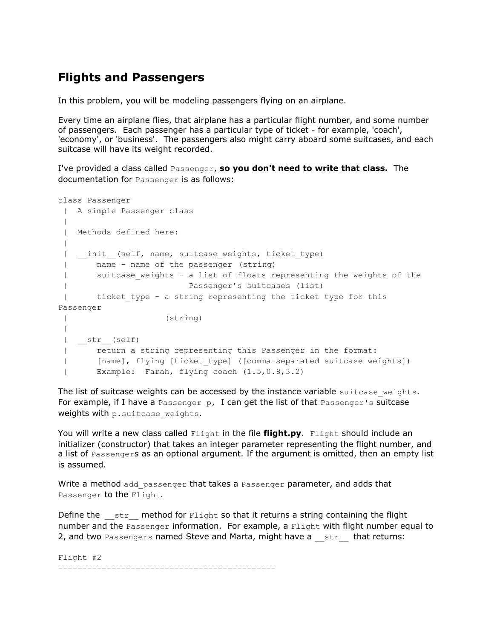## **Flights and Passengers**

In this problem, you will be modeling passengers flying on an airplane.

Every time an airplane flies, that airplane has a particular flight number, and some number of passengers. Each passenger has a particular type of ticket - for example, 'coach', 'economy', or 'business'. The passengers also might carry aboard some suitcases, and each suitcase will have its weight recorded.

I've provided a class called Passenger, **so you don't need to write that class.** The documentation for Passenger is as follows:

```
class Passenger
| A simple Passenger class
|
| Methods defined here:
|
| _init_(self, name, suitcase_weights, ticket type)
| name - name of the passenger (string)
| suitcase_weights - a list of floats representing the weights of the
| Passenger's suitcases (list)
| ticket type - a string representing the ticket type for this
Passenger
| (string)
|
| __str__(self)
| return a string representing this Passenger in the format:
| [name], flying [ticket_type] ([comma-separated suitcase weights])
| Example: Farah, flying coach (1.5,0.8,3.2)
```
The list of suitcase weights can be accessed by the instance variable suitcase weights. For example, if I have a Passenger p, I can get the list of that Passenger's suitcase weights with p. suitcase weights.

You will write a new class called Flight in the file **flight.py**. Flight should include an initializer (constructor) that takes an integer parameter representing the flight number, and a list of Passengers as an optional argument. If the argument is omitted, then an empty list is assumed.

Write a method add passenger that takes a Passenger parameter, and adds that Passenger to the Flight.

Define the  $\sigma$ str $\sigma$  method for Flight so that it returns a string containing the flight number and the Passenger information. For example, a Flight with flight number equal to 2, and two Passengers named Steve and Marta, might have a str that returns:

Flight #2 ---------------------------------------------